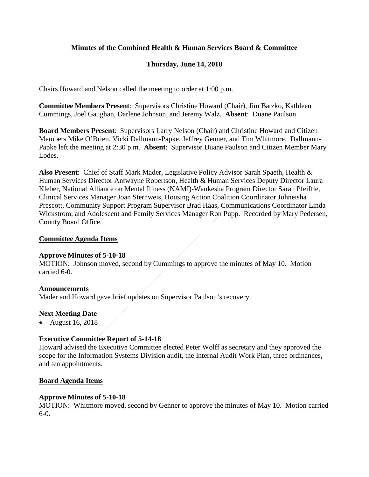# **Minutes of the Combined Health & Human Services Board & Committee**

# **Thursday, June 14, 2018**

Chairs Howard and Nelson called the meeting to order at 1:00 p.m.

**Committee Members Present**: Supervisors Christine Howard (Chair), Jim Batzko, Kathleen Cummings, Joel Gaughan, Darlene Johnson, and Jeremy Walz. **Absent**: Duane Paulson

**Board Members Present**: Supervisors Larry Nelson (Chair) and Christine Howard and Citizen Members Mike O'Brien, Vicki Dallmann-Papke, Jeffrey Genner, and Tim Whitmore. Dallmann-Papke left the meeting at 2:30 p.m. **Absent**: Supervisor Duane Paulson and Citizen Member Mary Lodes.

**Also Present**: Chief of Staff Mark Mader, Legislative Policy Advisor Sarah Spaeth, Health & Human Services Director Antwayne Robertson, Health & Human Services Deputy Director Laura Kleber, National Alliance on Mental Illness (NAMI)-Waukesha Program Director Sarah Pfeiffle, Clinical Services Manager Joan Sternweis, Housing Action Coalition Coordinator Johneisha Prescott, Community Support Program Supervisor Brad Haas, Communications Coordinator Linda Wickstrom, and Adolescent and Family Services Manager Ron Pupp. Recorded by Mary Pedersen, County Board Office.

### **Committee Agenda Items**

### **Approve Minutes of 5-10-18**

MOTION: Johnson moved, second by Cummings to approve the minutes of May 10. Motion carried 6-0.

### **Announcements**

Mader and Howard gave brief updates on Supervisor Paulson's recovery.

### **Next Meeting Date**

• August 16, 2018

### **Executive Committee Report of 5-14-18**

Howard advised the Executive Committee elected Peter Wolff as secretary and they approved the scope for the Information Systems Division audit, the Internal Audit Work Plan, three ordinances, and ten appointments.

### **Board Agenda Items**

### **Approve Minutes of 5-10-18**

MOTION: Whitmore moved, second by Genner to approve the minutes of May 10. Motion carried 6-0.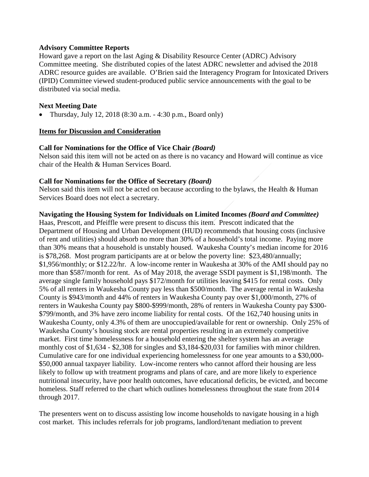### **Advisory Committee Reports**

Howard gave a report on the last Aging & Disability Resource Center (ADRC) Advisory Committee meeting. She distributed copies of the latest ADRC newsletter and advised the 2018 ADRC resource guides are available. O'Brien said the Interagency Program for Intoxicated Drivers (IPID) Committee viewed student-produced public service announcements with the goal to be distributed via social media.

## **Next Meeting Date**

• Thursday, July 12, 2018 (8:30 a.m. - 4:30 p.m., Board only)

### **Items for Discussion and Consideration**

### **Call for Nominations for the Office of Vice Chair** *(Board)*

Nelson said this item will not be acted on as there is no vacancy and Howard will continue as vice chair of the Health & Human Services Board.

### **Call for Nominations for the Office of Secretary** *(Board)*

Nelson said this item will not be acted on because according to the bylaws, the Health & Human Services Board does not elect a secretary.

### **Navigating the Housing System for Individuals on Limited Incomes** *(Board and Committee)*

Haas, Prescott, and Pfeiffle were present to discuss this item. Prescott indicated that the Department of Housing and Urban Development (HUD) recommends that housing costs (inclusive of rent and utilities) should absorb no more than 30% of a household's total income. Paying more than 30% means that a household is unstably housed. Waukesha County's median income for 2016 is \$78,268. Most program participants are at or below the poverty line: \$23,480/annually; \$1,956/monthly; or \$12.22/hr. A low-income renter in Waukesha at 30% of the AMI should pay no more than \$587/month for rent. As of May 2018, the average SSDI payment is \$1,198/month. The average single family household pays \$172/month for utilities leaving \$415 for rental costs. Only 5% of all renters in Waukesha County pay less than \$500/month. The average rental in Waukesha County is \$943/month and 44% of renters in Waukesha County pay over \$1,000/month, 27% of renters in Waukesha County pay \$800-\$999/month, 28% of renters in Waukesha County pay \$300- \$799/month, and 3% have zero income liability for rental costs. Of the 162,740 housing units in Waukesha County, only 4.3% of them are unoccupied/available for rent or ownership. Only 25% of Waukesha County's housing stock are rental properties resulting in an extremely competitive market. First time homelessness for a household entering the shelter system has an average monthly cost of \$1,634 - \$2,308 for singles and \$3,184-\$20,031 for families with minor children. Cumulative care for one individual experiencing homelessness for one year amounts to a \$30,000- \$50,000 annual taxpayer liability. Low-income renters who cannot afford their housing are less likely to follow up with treatment programs and plans of care, and are more likely to experience nutritional insecurity, have poor health outcomes, have educational deficits, be evicted, and become homeless. Staff referred to the chart which outlines homelessness throughout the state from 2014 through 2017.

The presenters went on to discuss assisting low income households to navigate housing in a high cost market. This includes referrals for job programs, landlord/tenant mediation to prevent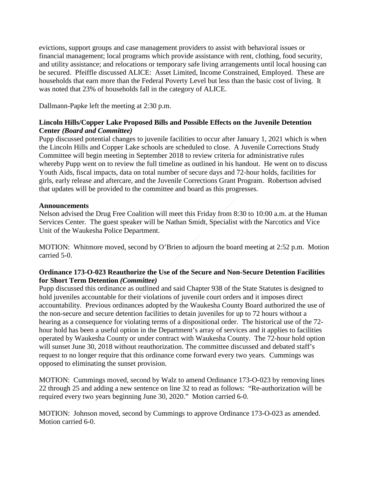evictions, support groups and case management providers to assist with behavioral issues or financial management; local programs which provide assistance with rent, clothing, food security, and utility assistance; and relocations or temporary safe living arrangements until local housing can be secured. Pfeiffle discussed ALICE: Asset Limited, Income Constrained, Employed. These are households that earn more than the Federal Poverty Level but less than the basic cost of living. It was noted that 23% of households fall in the category of ALICE.

Dallmann-Papke left the meeting at 2:30 p.m.

## **Lincoln Hills/Copper Lake Proposed Bills and Possible Effects on the Juvenile Detention Center** *(Board and Committee)*

Pupp discussed potential changes to juvenile facilities to occur after January 1, 2021 which is when the Lincoln Hills and Copper Lake schools are scheduled to close. A Juvenile Corrections Study Committee will begin meeting in September 2018 to review criteria for administrative rules whereby Pupp went on to review the full timeline as outlined in his handout. He went on to discuss Youth Aids, fiscal impacts, data on total number of secure days and 72-hour holds, facilities for girls, early release and aftercare, and the Juvenile Corrections Grant Program. Robertson advised that updates will be provided to the committee and board as this progresses.

# **Announcements**

Nelson advised the Drug Free Coalition will meet this Friday from 8:30 to 10:00 a.m. at the Human Services Center. The guest speaker will be Nathan Smidt, Specialist with the Narcotics and Vice Unit of the Waukesha Police Department.

MOTION: Whitmore moved, second by O'Brien to adjourn the board meeting at 2:52 p.m. Motion carried 5-0.

# **Ordinance 173-O-023 Reauthorize the Use of the Secure and Non-Secure Detention Facilities for Short Term Detention** *(Committee)*

Pupp discussed this ordinance as outlined and said Chapter 938 of the State Statutes is designed to hold juveniles accountable for their violations of juvenile court orders and it imposes direct accountability. Previous ordinances adopted by the Waukesha County Board authorized the use of the non-secure and secure detention facilities to detain juveniles for up to 72 hours without a hearing as a consequence for violating terms of a dispositional order. The historical use of the 72 hour hold has been a useful option in the Department's array of services and it applies to facilities operated by Waukesha County or under contract with Waukesha County. The 72-hour hold option will sunset June 30, 2018 without reauthorization. The committee discussed and debated staff's request to no longer require that this ordinance come forward every two years. Cummings was opposed to eliminating the sunset provision.

MOTION: Cummings moved, second by Walz to amend Ordinance 173-O-023 by removing lines 22 through 25 and adding a new sentence on line 32 to read as follows: "Re-authorization will be required every two years beginning June 30, 2020." Motion carried 6-0.

MOTION: Johnson moved, second by Cummings to approve Ordinance 173-O-023 as amended. Motion carried 6-0.